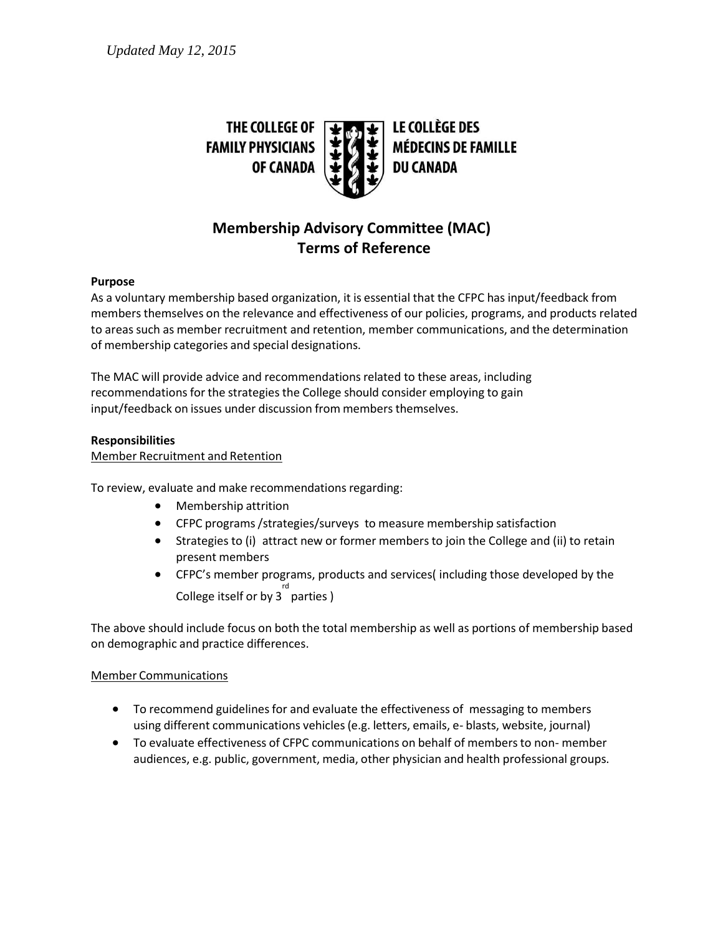

# **Membership Advisory Committee (MAC) Terms of Reference**

## **Purpose**

As a voluntary membership based organization, it is essential that the CFPC has input/feedback from members themselves on the relevance and effectiveness of our policies, programs, and products related to areas such as member recruitment and retention, member communications, and the determination of membership categories and special designations.

The MAC will provide advice and recommendations related to these areas, including recommendations for the strategies the College should consider employing to gain input/feedback on issues under discussion from members themselves.

## **Responsibilities**

Member Recruitment and Retention

To review, evaluate and make recommendations regarding:

- Membership attrition
- CFPC programs /strategies/surveys to measure membership satisfaction
- Strategies to (i) attract new or former members to join the College and (ii) to retain present members
- CFPC's member programs, products and services( including those developed by the rd<br>College itself or by 3<sup>'</sup> parties )

The above should include focus on both the total membership as well as portions of membership based on demographic and practice differences.

# Member Communications

- To recommend guidelines for and evaluate the effectiveness of messaging to members using different communications vehicles (e.g. letters, emails, e- blasts, website, journal)
- To evaluate effectiveness of CFPC communications on behalf of members to non- member audiences, e.g. public, government, media, other physician and health professional groups.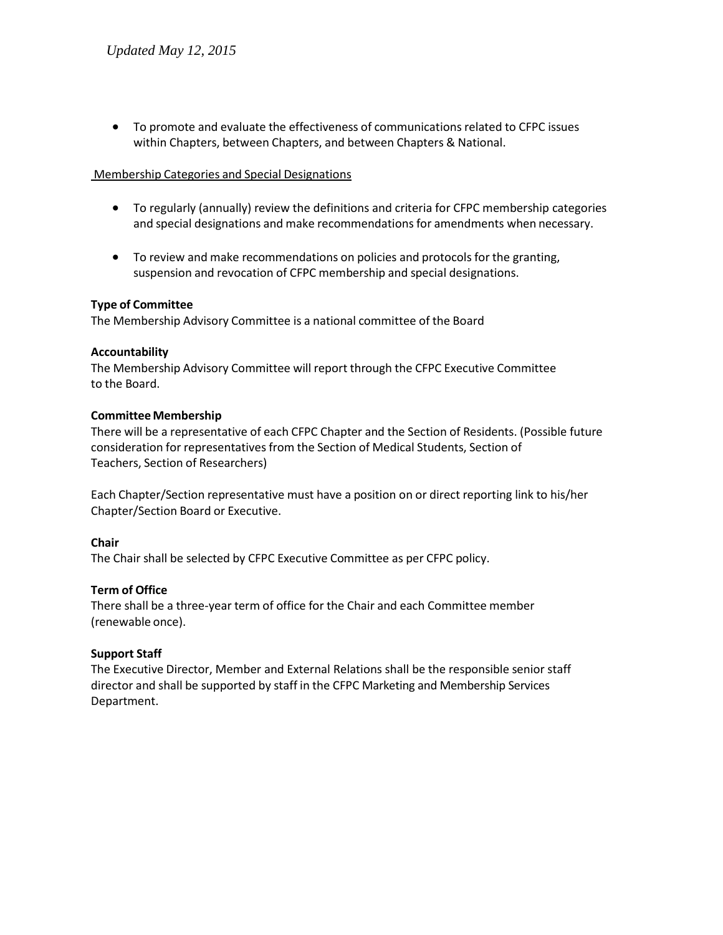To promote and evaluate the effectiveness of communications related to CFPC issues within Chapters, between Chapters, and between Chapters & National.

#### Membership Categories and Special Designations

- To regularly (annually) review the definitions and criteria for CFPC membership categories and special designations and make recommendations for amendments when necessary.
- To review and make recommendations on policies and protocols for the granting, suspension and revocation of CFPC membership and special designations.

## **Type of Committee**

The Membership Advisory Committee is a national committee of the Board

#### **Accountability**

The Membership Advisory Committee will report through the CFPC Executive Committee to the Board.

## **Committee Membership**

There will be a representative of each CFPC Chapter and the Section of Residents. (Possible future consideration for representatives from the Section of Medical Students, Section of Teachers, Section of Researchers)

Each Chapter/Section representative must have a position on or direct reporting link to his/her Chapter/Section Board or Executive.

# **Chair**

The Chair shall be selected by CFPC Executive Committee as per CFPC policy.

#### **Term of Office**

There shall be a three-year term of office for the Chair and each Committee member (renewable once).

# **Support Staff**

The Executive Director, Member and External Relations shall be the responsible senior staff director and shall be supported by staff in the CFPC Marketing and Membership Services Department.